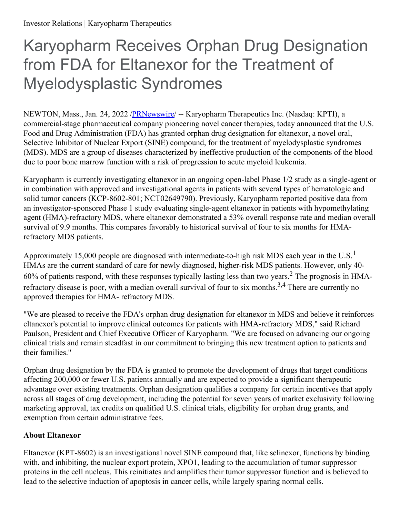## Karyopharm Receives Orphan Drug Designation from FDA for Eltanexor for the Treatment of Myelodysplastic Syndromes

NEWTON, Mass., Jan. 24, 2022 [/PRNewswire](http://www.prnewswire.com/)/ -- Karyopharm Therapeutics Inc. (Nasdaq: KPTI), a commercial-stage pharmaceutical company pioneering novel cancer therapies, today announced that the U.S. Food and Drug Administration (FDA) has granted orphan drug designation for eltanexor, a novel oral, Selective Inhibitor of Nuclear Export (SINE) compound, for the treatment of myelodysplastic syndromes (MDS). MDS are a group of diseases characterized by ineffective production of the components of the blood due to poor bone marrow function with a risk of progression to acute myeloid leukemia.

Karyopharm is currently investigating eltanexor in an ongoing open-label Phase 1/2 study as a single-agent or in combination with approved and investigational agents in patients with several types of hematologic and solid tumor cancers (KCP-8602-801; NCT02649790). Previously, Karyopharm reported positive data from an investigator-sponsored Phase 1 study evaluating single-agent eltanexor in patients with hypomethylating agent (HMA)-refractory MDS, where eltanexor demonstrated a 53% overall response rate and median overall survival of 9.9 months. This compares favorably to historical survival of four to six months for HMArefractory MDS patients.

Approximately 15,000 people are diagnosed with intermediate-to-high risk MDS each year in the U.S.<sup>1</sup> HMAs are the current standard of care for newly diagnosed, higher-risk MDS patients. However, only 40- 60% of patients respond, with these responses typically lasting less than two years.<sup>2</sup> The prognosis in HMArefractory disease is poor, with a median overall survival of four to six months.<sup>3,4</sup> There are currently no approved therapies for HMA- refractory MDS.

"We are pleased to receive the FDA's orphan drug designation for eltanexor in MDS and believe it reinforces eltanexor's potential to improve clinical outcomes for patients with HMA-refractory MDS," said Richard Paulson, President and Chief Executive Officer of Karyopharm. "We are focused on advancing our ongoing clinical trials and remain steadfast in our commitment to bringing this new treatment option to patients and their families."

Orphan drug designation by the FDA is granted to promote the development of drugs that target conditions affecting 200,000 or fewer U.S. patients annually and are expected to provide a significant therapeutic advantage over existing treatments. Orphan designation qualifies a company for certain incentives that apply across all stages of drug development, including the potential for seven years of market exclusivity following marketing approval, tax credits on qualified U.S. clinical trials, eligibility for orphan drug grants, and exemption from certain administrative fees.

## **About Eltanexor**

Eltanexor (KPT-8602) is an investigational novel SINE compound that, like selinexor, functions by binding with, and inhibiting, the nuclear export protein, XPO1, leading to the accumulation of tumor suppressor proteins in the cell nucleus. This reinitiates and amplifies their tumor suppressor function and is believed to lead to the selective induction of apoptosis in cancer cells, while largely sparing normal cells.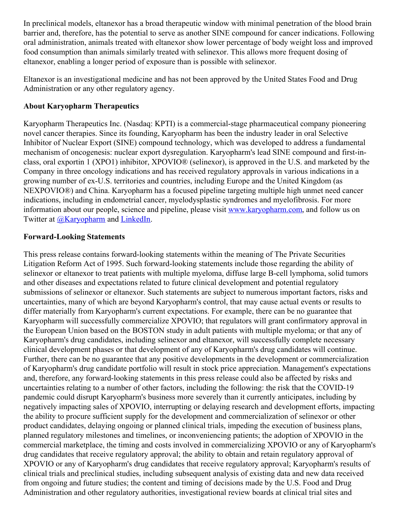In preclinical models, eltanexor has a broad therapeutic window with minimal penetration of the blood brain barrier and, therefore, has the potential to serve as another SINE compound for cancer indications. Following oral administration, animals treated with eltanexor show lower percentage of body weight loss and improved food consumption than animals similarly treated with selinexor. This allows more frequent dosing of eltanexor, enabling a longer period of exposure than is possible with selinexor.

Eltanexor is an investigational medicine and has not been approved by the United States Food and Drug Administration or any other regulatory agency.

## **About Karyopharm Therapeutics**

Karyopharm Therapeutics Inc. (Nasdaq: KPTI) is a commercial-stage pharmaceutical company pioneering novel cancer therapies. Since its founding, Karyopharm has been the industry leader in oral Selective Inhibitor of Nuclear Export (SINE) compound technology, which was developed to address a fundamental mechanism of oncogenesis: nuclear export dysregulation. Karyopharm's lead SINE compound and first-inclass, oral exportin 1 (XPO1) inhibitor, XPOVIO® (selinexor), is approved in the U.S. and marketed by the Company in three oncology indications and has received regulatory approvals in various indications in a growing number of ex-U.S. territories and countries, including Europe and the United Kingdom (as NEXPOVIO®) and China. Karyopharm has a focused pipeline targeting multiple high unmet need cancer indications, including in endometrial cancer, myelodysplastic syndromes and myelofibrosis. For more information about our people, science and pipeline, please visit [www.karyopharm.com](https://c212.net/c/link/?t=0&l=en&o=3421168-1&h=3972949612&u=https%3A%2F%2Fwww.karyopharm.com%2F&a=www.karyopharm.com), and follow us on Twitter at **[@Karyopharm](https://c212.net/c/link/?t=0&l=en&o=3421168-1&h=1248192215&u=https%3A%2F%2Fc212.net%2Fc%2Flink%2F%3Ft%3D0%26l%3Den%26o%3D3407363-1%26h%3D2474780321%26u%3Dhttps%253A%252F%252Ftwitter.com%252FKaryopharm%26a%3D%2540Karyopharm&a=%40Karyopharm)** and **[LinkedIn](https://c212.net/c/link/?t=0&l=en&o=3421168-1&h=101589610&u=https%3A%2F%2Fwww.linkedin.com%2Fcompany%2Fkaryopharm%2F&a=LinkedIn)**.

## **Forward-Looking Statements**

This press release contains forward-looking statements within the meaning of The Private Securities Litigation Reform Act of 1995. Such forward-looking statements include those regarding the ability of selinexor or eltanexor to treat patients with multiple myeloma, diffuse large B-cell lymphoma, solid tumors and other diseases and expectations related to future clinical development and potential regulatory submissions of selinexor or eltanexor. Such statements are subject to numerous important factors, risks and uncertainties, many of which are beyond Karyopharm's control, that may cause actual events or results to differ materially from Karyopharm's current expectations. For example, there can be no guarantee that Karyopharm will successfully commercialize XPOVIO; that regulators will grant confirmatory approval in the European Union based on the BOSTON study in adult patients with multiple myeloma; or that any of Karyopharm's drug candidates, including selinexor and eltanexor, will successfully complete necessary clinical development phases or that development of any of Karyopharm's drug candidates will continue. Further, there can be no guarantee that any positive developments in the development or commercialization of Karyopharm's drug candidate portfolio will result in stock price appreciation. Management's expectations and, therefore, any forward-looking statements in this press release could also be affected by risks and uncertainties relating to a number of other factors, including the following: the risk that the COVID-19 pandemic could disrupt Karyopharm's business more severely than it currently anticipates, including by negatively impacting sales of XPOVIO, interrupting or delaying research and development efforts, impacting the ability to procure sufficient supply for the development and commercialization of selinexor or other product candidates, delaying ongoing or planned clinical trials, impeding the execution of business plans, planned regulatory milestones and timelines, or inconveniencing patients; the adoption of XPOVIO in the commercial marketplace, the timing and costs involved in commercializing XPOVIO or any of Karyopharm's drug candidates that receive regulatory approval; the ability to obtain and retain regulatory approval of XPOVIO or any of Karyopharm's drug candidates that receive regulatory approval; Karyopharm's results of clinical trials and preclinical studies, including subsequent analysis of existing data and new data received from ongoing and future studies; the content and timing of decisions made by the U.S. Food and Drug Administration and other regulatory authorities, investigational review boards at clinical trial sites and